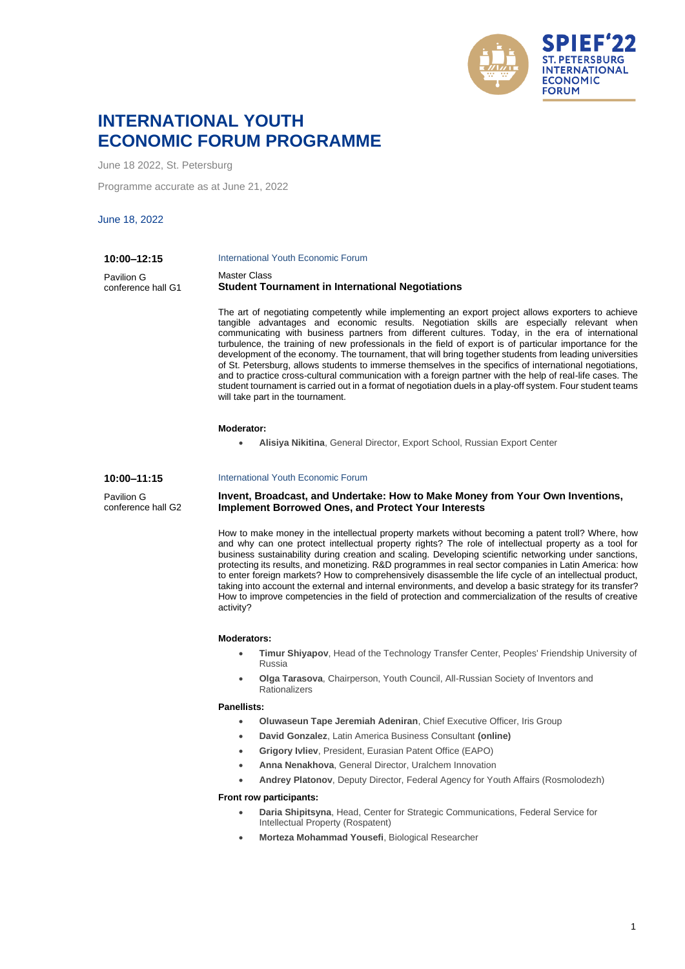

# **INTERNATIONAL YOUTH ECONOMIC FORUM PROGRAMME**

June 18 2022, St. Petersburg

Programme accurate as at June 21, 2022

June 18, 2022

| 10:00-12:15        | International Youth Economic Forum                      |
|--------------------|---------------------------------------------------------|
| Pavilion G         | Master Class                                            |
| conference hall G1 | <b>Student Tournament in International Negotiations</b> |

The art of negotiating competently while implementing an export project allows exporters to achieve tangible advantages and economic results. Negotiation skills are especially relevant when communicating with business partners from different cultures. Today, in the era of international turbulence, the training of new professionals in the field of export is of particular importance for the development of the economy. The tournament, that will bring together students from leading universities of St. Petersburg, allows students to immerse themselves in the specifics of international negotiations, and to practice cross-cultural communication with a foreign partner with the help of real-life cases. The student tournament is carried out in a format of negotiation duels in a play-off system. Four student teams will take part in the tournament.

#### **Moderator:**

• **Alisiya Nikitina**, General Director, Export School, Russian Export Center

**10:00–11:15**

Pavilion G conference hall G2

# International Youth Economic Forum

**Invent, Broadcast, and Undertake: How to Make Money from Your Own Inventions, Implement Borrowed Ones, and Protect Your Interests**

How to make money in the intellectual property markets without becoming a patent troll? Where, how and why can one protect intellectual property rights? The role of intellectual property as a tool for business sustainability during creation and scaling. Developing scientific networking under sanctions, protecting its results, and monetizing. R&D programmes in real sector companies in Latin America: how to enter foreign markets? How to comprehensively disassemble the life cycle of an intellectual product, taking into account the external and internal environments, and develop a basic strategy for its transfer? How to improve competencies in the field of protection and commercialization of the results of creative activity?

### **Moderators:**

- **Timur Shiyapov**, Head of the Technology Transfer Center, Peoples' Friendship University of Russia
- **Olga Tarasova**, Chairperson, Youth Council, All-Russian Society of Inventors and Rationalizers

#### **Panellists:**

- **Oluwaseun Tape Jeremiah Adeniran**, Chief Executive Officer, Iris Group
	- **David Gonzalez**, Latin America Business Consultant **(online)**
	- **Grigory Ivliev**, President, Eurasian Patent Office (EAPO)
	- **Anna Nenakhova**, General Director, Uralchem Innovation
	- **Andrey Platonov**, Deputy Director, Federal Agency for Youth Affairs (Rosmolodezh)

### **Front row participants:**

- **Daria Shipitsyna**, Head, Center for Strategic Communications, Federal Service for Intellectual Property (Rospatent)
- **Morteza Mohammad Yousefi**, Biological Researcher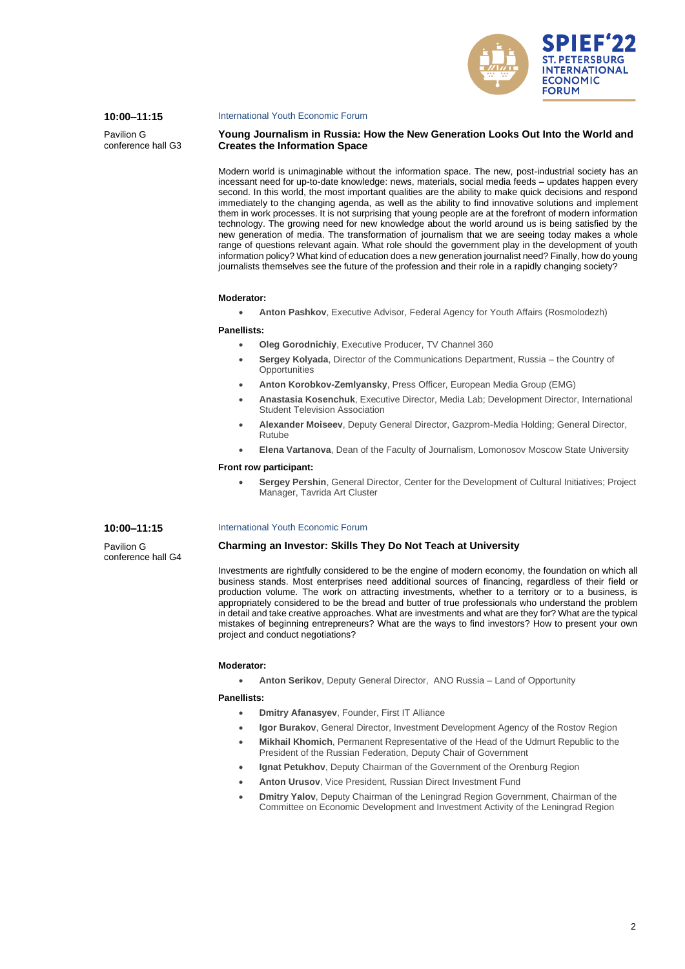

### **10:00–11:15**

Pavilion G conference hall G3

#### International Youth Economic Forum

# **Young Journalism in Russia: How the New Generation Looks Out Into the World and Creates the Information Space**

Modern world is unimaginable without the information space. The new, post-industrial society has an incessant need for up-to-date knowledge: news, materials, social media feeds – updates happen every second. In this world, the most important qualities are the ability to make quick decisions and respond immediately to the changing agenda, as well as the ability to find innovative solutions and implement them in work processes. It is not surprising that young people are at the forefront of modern information technology. The growing need for new knowledge about the world around us is being satisfied by the new generation of media. The transformation of journalism that we are seeing today makes a whole range of questions relevant again. What role should the government play in the development of youth information policy? What kind of education does a new generation journalist need? Finally, how do young journalists themselves see the future of the profession and their role in a rapidly changing society?

### **Moderator:**

• **Anton Pashkov**, Executive Advisor, Federal Agency for Youth Affairs (Rosmolodezh)

#### **Panellists:**

- **Oleg Gorodnichiy**, Executive Producer, TV Channel 360
- **Sergey Kolyada**, Director of the Communications Department, Russia the Country of **Opportunities**
- **Anton Korobkov-Zemlyansky**, Press Officer, European Media Group (EMG)
- **Anastasia Kosenchuk**, Executive Director, Media Lab; Development Director, International Student Television Association
- **Alexander Moiseev**, Deputy General Director, Gazprom-Media Holding; General Director, Rutube
- **Elena Vartanova**, Dean of the Faculty of Journalism, Lomonosov Moscow State University

#### **Front row participant:**

• **Sergey Pershin**, General Director, Center for the Development of Cultural Initiatives; Project Manager, Tavrida Art Cluster

### **10:00–11:15**

Pavilion G conference hall G4

### International Youth Economic Forum

# **Charming an Investor: Skills They Do Not Teach at University**

Investments are rightfully considered to be the engine of modern economy, the foundation on which all business stands. Most enterprises need additional sources of financing, regardless of their field or production volume. The work on attracting investments, whether to a territory or to a business, is appropriately considered to be the bread and butter of true professionals who understand the problem in detail and take creative approaches. What are investments and what are they for? What are the typical mistakes of beginning entrepreneurs? What are the ways to find investors? How to present your own project and conduct negotiations?

#### **Moderator:**

• **Anton Serikov**, Deputy General Director, ANO Russia – Land of Opportunity

- **Dmitry Afanasyev**, Founder, First IT Alliance
- **Igor Burakov**, General Director, Investment Development Agency of the Rostov Region
- **Mikhail Khomich**, Permanent Representative of the Head of the Udmurt Republic to the President of the Russian Federation, Deputy Chair of Government
- **Ignat Petukhov**, Deputy Chairman of the Government of the Orenburg Region
- **Anton Urusov**, Vice President, Russian Direct Investment Fund
- **Dmitry Yalov**, Deputy Chairman of the Leningrad Region Government, Chairman of the Committee on Economic Development and Investment Activity of the Leningrad Region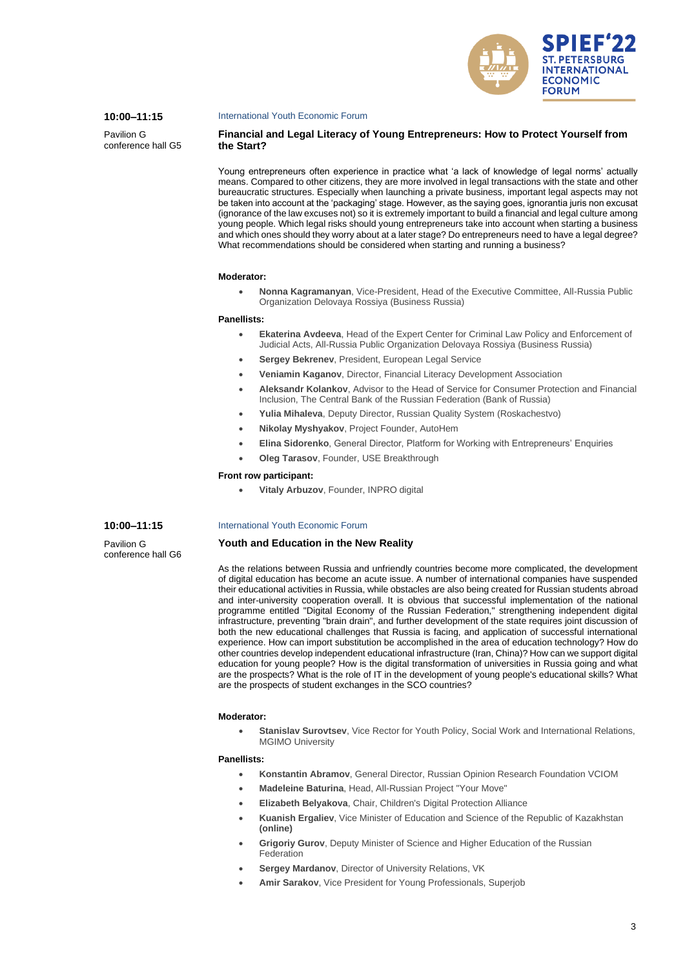

### **10:00–11:15**

Pavilion G conference hall G5

#### International Youth Economic Forum

# **Financial and Legal Literacy of Young Entrepreneurs: How to Protect Yourself from the Start?**

Young entrepreneurs often experience in practice what 'a lack of knowledge of legal norms' actually means. Compared to other citizens, they are more involved in legal transactions with the state and other bureaucratic structures. Especially when launching a private business, important legal aspects may not be taken into account at the 'packaging' stage. However, as the saying goes, ignorantia juris non excusat (ignorance of the law excuses not) so it is extremely important to build a financial and legal culture among young people. Which legal risks should young entrepreneurs take into account when starting a business and which ones should they worry about at a later stage? Do entrepreneurs need to have a legal degree? What recommendations should be considered when starting and running a business?

#### **Moderator:**

• **Nonna Kagramanyan**, Vice-President, Head of the Executive Committee, All-Russia Public Organization Delovaya Rossiya (Business Russia)

### **Panellists:**

- **Ekaterina Avdeeva**, Head of the Expert Center for Criminal Law Policy and Enforcement of Judicial Acts, All-Russia Public Organization Delovaya Rossiya (Business Russia)
- **Sergey Bekrenev, President, European Legal Service**
- **Veniamin Kaganov**, Director, Financial Literacy Development Association
- **Aleksandr Kolankov**, Advisor to the Head of Service for Consumer Protection and Financial Inclusion, The Central Bank of the Russian Federation (Bank of Russia)
- **Yulia Mihaleva**, Deputy Director, Russian Quality System (Roskachestvo)
- **Nikolay Myshyakov**, Project Founder, AutoHem
- **Elina Sidorenko**, General Director, Platform for Working with Entrepreneurs' Enquiries
- **Oleg Tarasov**, Founder, USE Breakthrough

### **Front row participant:**

• **Vitaly Arbuzov**, Founder, INPRO digital

### **10:00–11:15**

Pavilion G conference hall G6

#### International Youth Economic Forum

### **Youth and Education in the New Reality**

As the relations between Russia and unfriendly countries become more complicated, the development of digital education has become an acute issue. A number of international companies have suspended their educational activities in Russia, while obstacles are also being created for Russian students abroad and inter-university cooperation overall. It is obvious that successful implementation of the national programme entitled "Digital Economy of the Russian Federation," strengthening independent digital infrastructure, preventing "brain drain", and further development of the state requires joint discussion of both the new educational challenges that Russia is facing, and application of successful international experience. How can import substitution be accomplished in the area of education technology? How do other countries develop independent educational infrastructure (Iran, China)? How can we support digital education for young people? How is the digital transformation of universities in Russia going and what are the prospects? What is the role of IT in the development of young people's educational skills? What are the prospects of student exchanges in the SCO countries?

#### **Moderator:**

• **Stanislav Surovtsev**, Vice Rector for Youth Policy, Social Work and International Relations, MGIMO University

- **Konstantin Abramov**, General Director, Russian Opinion Research Foundation VCIOM
- **Madeleine Baturina**, Head, All-Russian Project "Your Move"
- **Elizabeth Belyakova**, Chair, Children's Digital Protection Alliance
- **Kuanish Ergaliev**, Vice Minister of Education and Science of the Republic of Kazakhstan **(online)**
- **Grigoriy Gurov**, Deputy Minister of Science and Higher Education of the Russian Federation
- **Sergey Mardanov**, Director of University Relations, VK
- **Amir Sarakov**, Vice President for Young Professionals, Superjob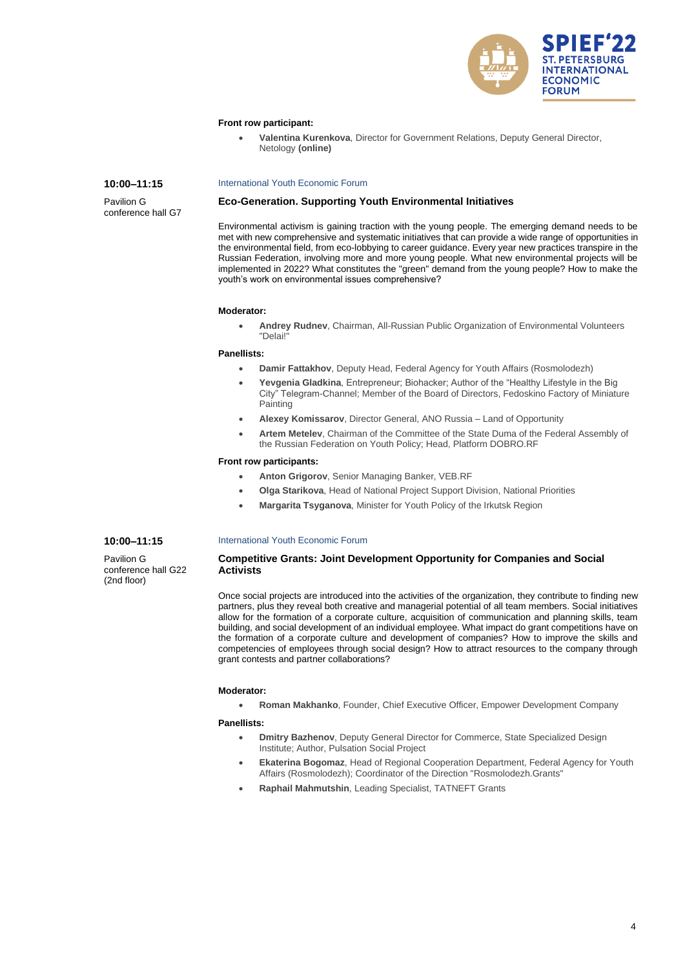

### **Front row participant:**

• **Valentina Kurenkova**, Director for Government Relations, Deputy General Director, Netology **(online)**

### **10:00–11:15**

Pavilion G conference hall G7

### International Youth Economic Forum

# **Eco-Generation. Supporting Youth Environmental Initiatives**

Environmental activism is gaining traction with the young people. The emerging demand needs to be met with new comprehensive and systematic initiatives that can provide a wide range of opportunities in the environmental field, from eco-lobbying to career guidance. Every year new practices transpire in the Russian Federation, involving more and more young people. What new environmental projects will be implemented in 2022? What constitutes the "green" demand from the young people? How to make the youth's work on environmental issues comprehensive?

### **Moderator:**

• **Andrey Rudnev**, Chairman, All-Russian Public Organization of Environmental Volunteers "Delai!"

#### **Panellists:**

- **Damir Fattakhov**, Deputy Head, Federal Agency for Youth Affairs (Rosmolodezh)
- **Yevgenia Gladkina**, Entrepreneur; Biohacker; Author of the "Healthy Lifestyle in the Big City" Telegram-Channel; Member of the Board of Directors, Fedoskino Factory of Miniature Painting
- **Alexey Komissarov**, Director General, ANO Russia Land of Opportunity
- **Artem Metelev**, Chairman of the Committee of the State Duma of the Federal Assembly of the Russian Federation on Youth Policy; Head, Platform DOBRO.RF

### **Front row participants:**

- **Anton Grigorov**, Senior Managing Banker, VEB.RF
- **Olga Starikova**, Head of National Project Support Division, National Priorities
- **Margarita Tsyganova**, Minister for Youth Policy of the Irkutsk Region

### **10:00–11:15**

Pavilion G conference hall G22 (2nd floor)

### International Youth Economic Forum

# **Competitive Grants: Joint Development Opportunity for Companies and Social Activists**

Once social projects are introduced into the activities of the organization, they contribute to finding new partners, plus they reveal both creative and managerial potential of all team members. Social initiatives allow for the formation of a corporate culture, acquisition of communication and planning skills, team building, and social development of an individual employee. What impact do grant competitions have on the formation of a corporate culture and development of companies? How to improve the skills and competencies of employees through social design? How to attract resources to the company through grant contests and partner collaborations?

#### **Moderator:**

• **Roman Makhanko**, Founder, Chief Executive Officer, Empower Development Company

- **Dmitry Bazhenov**, Deputy General Director for Commerce, State Specialized Design Institute; Author, Pulsation Social Project
- **Ekaterina Bogomaz**, Head of Regional Cooperation Department, Federal Agency for Youth Affairs (Rosmolodezh); Coordinator of the Direction "Rosmolodezh.Grants"
- **Raphail Mahmutshin**, Leading Specialist, TATNEFT Grants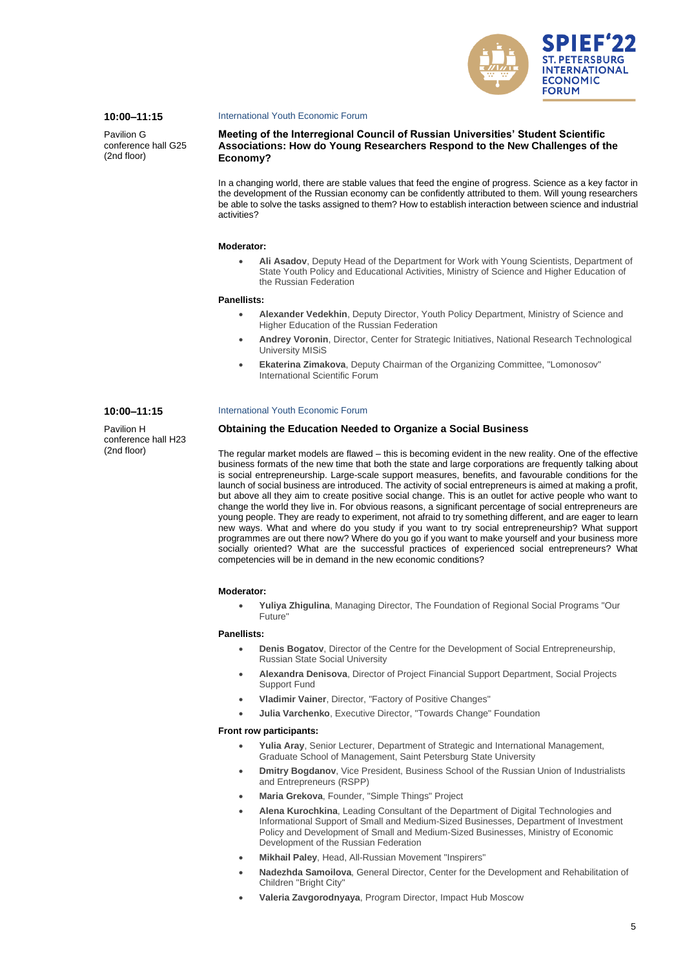

# **10:00–11:15**

**10:00–11:15** Pavilion H conference hall H23 (2nd floor)

Pavilion G conference hall G25 (2nd floor)

#### International Youth Economic Forum

**Meeting of the Interregional Council of Russian Universities' Student Scientific Associations: How do Young Researchers Respond to the New Challenges of the Economy?**

In a changing world, there are stable values that feed the engine of progress. Science as a key factor in the development of the Russian economy can be confidently attributed to them. Will young researchers be able to solve the tasks assigned to them? How to establish interaction between science and industrial activities?

#### **Moderator:**

• **Ali Asadov**, Deputy Head of the Department for Work with Young Scientists, Department of State Youth Policy and Educational Activities, Ministry of Science and Higher Education of the Russian Federation

#### **Panellists:**

- **Alexander Vedekhin**, Deputy Director, Youth Policy Department, Ministry of Science and Higher Education of the Russian Federation
- **Andrey Voronin**, Director, Center for Strategic Initiatives, National Research Technological University MISiS
- **Ekaterina Zimakova**, Deputy Chairman of the Organizing Committee, "Lomonosov" International Scientific Forum

#### International Youth Economic Forum

#### **Obtaining the Education Needed to Organize a Social Business**

The regular market models are flawed – this is becoming evident in the new reality. One of the effective business formats of the new time that both the state and large corporations are frequently talking about is social entrepreneurship. Large-scale support measures, benefits, and favourable conditions for the launch of social business are introduced. The activity of social entrepreneurs is aimed at making a profit, but above all they aim to create positive social change. This is an outlet for active people who want to change the world they live in. For obvious reasons, a significant percentage of social entrepreneurs are young people. They are ready to experiment, not afraid to try something different, and are eager to learn new ways. What and where do you study if you want to try social entrepreneurship? What support programmes are out there now? Where do you go if you want to make yourself and your business more socially oriented? What are the successful practices of experienced social entrepreneurs? What competencies will be in demand in the new economic conditions?

#### **Moderator:**

• **Yuliya Zhigulina**, Managing Director, The Foundation of Regional Social Programs "Our Future"

#### **Panellists:**

- **Denis Bogatov**, Director of the Centre for the Development of Social Entrepreneurship, Russian State Social University
- **Alexandra Denisova**, Director of Project Financial Support Department, Social Projects Support Fund
- **Vladimir Vainer**, Director, "Factory of Positive Changes"
- **Julia Varchenko**, Executive Director, "Towards Change" Foundation

#### **Front row participants:**

- **Yulia Aray**, Senior Lecturer, Department of Strategic and International Management, Graduate School of Management, Saint Petersburg State University
- **Dmitry Bogdanov**, Vice President, Business School of the Russian Union of Industrialists and Entrepreneurs (RSPP)
- **Maria Grekova**, Founder, "Simple Things" Project
- **Alena Kurochkina**, Leading Consultant of the Department of Digital Technologies and Informational Support of Small and Medium-Sized Businesses, Department of Investment Policy and Development of Small and Medium-Sized Businesses, Ministry of Economic Development of the Russian Federation
- **Mikhail Paley**, Head, All-Russian Movement "Inspirers"
- **Nadezhda Samoilova**, General Director, Center for the Development and Rehabilitation of Children "Bright City"
- **Valeria Zavgorodnyaya**, Program Director, Impact Hub Moscow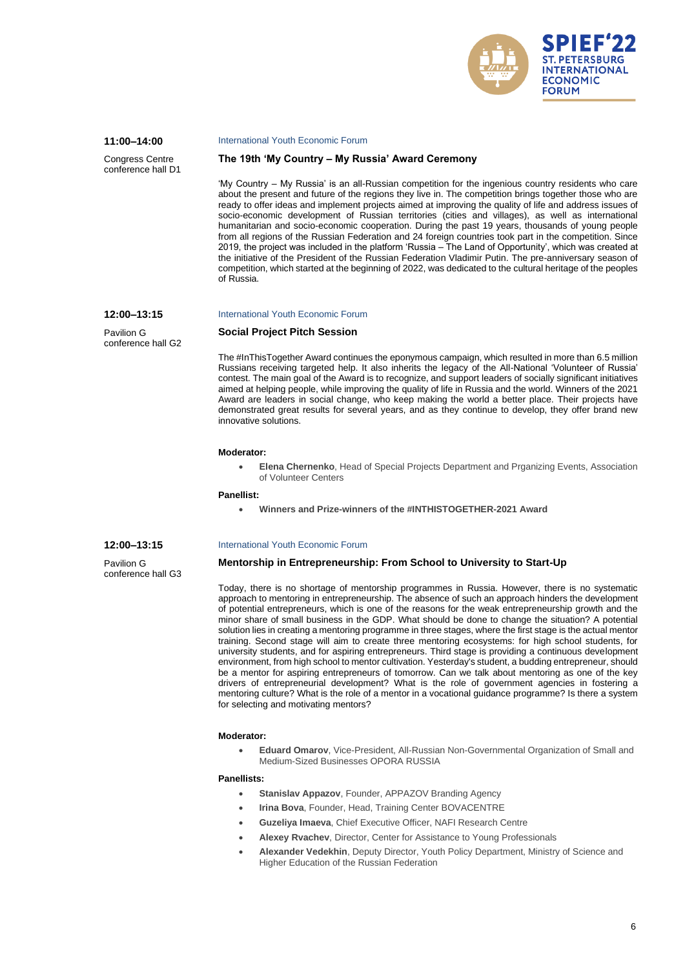

# **11:00–14:00**

Congress Centre conference hall D1

#### International Youth Economic Forum

#### **The 19th 'My Country – My Russia' Award Ceremony**

'My Country – My Russia' is an all-Russian competition for the ingenious country residents who care about the present and future of the regions they live in. The competition brings together those who are ready to offer ideas and implement projects aimed at improving the quality of life and address issues of socio-economic development of Russian territories (cities and villages), as well as international humanitarian and socio-economic cooperation. During the past 19 years, thousands of young people from all regions of the Russian Federation and 24 foreign countries took part in the competition. Since 2019, the project was included in the platform 'Russia – The Land of Opportunity', which was created at the initiative of the President of the Russian Federation Vladimir Putin. The pre-anniversary season of competition, which started at the beginning of 2022, was dedicated to the cultural heritage of the peoples of Russia.

### International Youth Economic Forum

Pavilion G conference hall G2

**12:00–13:15**

### **Social Project Pitch Session**

International Youth Economic Forum

The #InThisTogether Award continues the eponymous campaign, which resulted in more than 6.5 million Russians receiving targeted help. It also inherits the legacy of the All-National 'Volunteer of Russia' contest. The main goal of the Award is to recognize, and support leaders of socially significant initiatives aimed at helping people, while improving the quality of life in Russia and the world. Winners of the 2021 Award are leaders in social change, who keep making the world a better place. Their projects have demonstrated great results for several years, and as they continue to develop, they offer brand new innovative solutions.

#### **Moderator:**

• **Elena Chernenko**, Head of Special Projects Department and Prganizing Events, Association of Volunteer Centers

#### **Panellist:**

• **Winners and Prize-winners of the #INTHISTOGETHER-2021 Award**

### **12:00–13:15**

Pavilion G conference hall G3

#### **Mentorship in Entrepreneurship: From School to University to Start-Up**

Today, there is no shortage of mentorship programmes in Russia. However, there is no systematic approach to mentoring in entrepreneurship. The absence of such an approach hinders the development of potential entrepreneurs, which is one of the reasons for the weak entrepreneurship growth and the minor share of small business in the GDP. What should be done to change the situation? A potential solution lies in creating a mentoring programme in three stages, where the first stage is the actual mentor training. Second stage will aim to create three mentoring ecosystems: for high school students, for university students, and for aspiring entrepreneurs. Third stage is providing a continuous development environment, from high school to mentor cultivation. Yesterday's student, a budding entrepreneur, should be a mentor for aspiring entrepreneurs of tomorrow. Can we talk about mentoring as one of the key drivers of entrepreneurial development? What is the role of government agencies in fostering a mentoring culture? What is the role of a mentor in a vocational guidance programme? Is there a system for selecting and motivating mentors?

### **Moderator:**

• **Eduard Omarov**, Vice-President, All-Russian Non-Governmental Organization of Small and Medium-Sized Businesses OPORA RUSSIA

- **Stanislav Appazov**, Founder, APPAZOV Branding Agency
- **Irina Bova, Founder, Head, Training Center BOVACENTRE**
- **Guzeliya Imaeva**, Chief Executive Officer, NAFI Research Centre
- **Alexey Rvachev**, Director, Center for Assistance to Young Professionals
- **Alexander Vedekhin**, Deputy Director, Youth Policy Department, Ministry of Science and Higher Education of the Russian Federation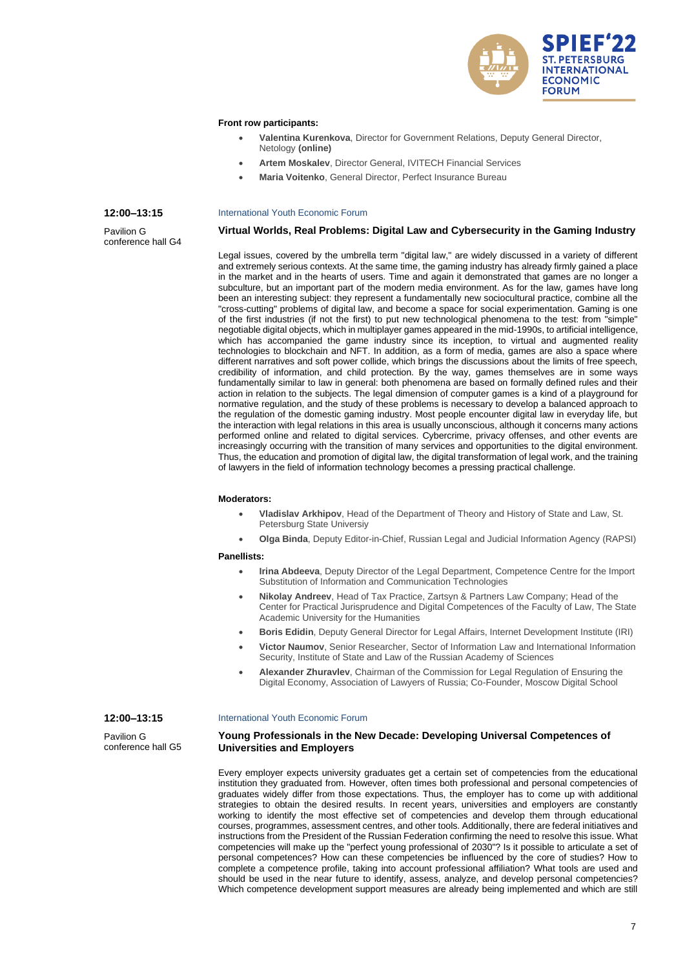

### **Front row participants:**

- **Valentina Kurenkova**, Director for Government Relations, Deputy General Director, Netology **(online)**
- **Artem Moskalev**, Director General, IVITECH Financial Services
- **Maria Voitenko**, General Director, Perfect Insurance Bureau

#### **12:00–13:15**

Pavilion G conference hall G4

### International Youth Economic Forum

### **Virtual Worlds, Real Problems: Digital Law and Cybersecurity in the Gaming Industry**

Legal issues, covered by the umbrella term "digital law," are widely discussed in a variety of different and extremely serious contexts. At the same time, the gaming industry has already firmly gained a place in the market and in the hearts of users. Time and again it demonstrated that games are no longer a subculture, but an important part of the modern media environment. As for the law, games have long been an interesting subject: they represent a fundamentally new sociocultural practice, combine all the "cross-cutting" problems of digital law, and become a space for social experimentation. Gaming is one of the first industries (if not the first) to put new technological phenomena to the test: from "simple" negotiable digital objects, which in multiplayer games appeared in the mid-1990s, to artificial intelligence, which has accompanied the game industry since its inception, to virtual and augmented reality technologies to blockchain and NFT. In addition, as a form of media, games are also a space where different narratives and soft power collide, which brings the discussions about the limits of free speech, credibility of information, and child protection. By the way, games themselves are in some ways fundamentally similar to law in general: both phenomena are based on formally defined rules and their action in relation to the subjects. The legal dimension of computer games is a kind of a playground for normative regulation, and the study of these problems is necessary to develop a balanced approach to the regulation of the domestic gaming industry. Most people encounter digital law in everyday life, but the interaction with legal relations in this area is usually unconscious, although it concerns many actions performed online and related to digital services. Cybercrime, privacy offenses, and other events are increasingly occurring with the transition of many services and opportunities to the digital environment. Thus, the education and promotion of digital law, the digital transformation of legal work, and the training of lawyers in the field of information technology becomes a pressing practical challenge.

### **Moderators:**

- **Vladislav Arkhipov**, Head of the Department of Theory and History of State and Law, St. Petersburg State Universiy
- **Olga Binda**, Deputy Editor-in-Chief, Russian Legal and Judicial Information Agency (RAPSI)

#### **Panellists:**

- **Irina Abdeeva**, Deputy Director of the Legal Department, Competence Centre for the Import Substitution of Information and Communication Technologies
- **Nikolay Andreev**, Head of Tax Practice, Zartsyn & Partners Law Company; Head of the Center for Practical Jurisprudence and Digital Competences of the Faculty of Law, The State Academic University for the Humanities
- **Boris Edidin**, Deputy General Director for Legal Affairs, Internet Development Institute (IRI)
- **Victor Naumov**, Senior Researcher, Sector of Information Law and International Information Security, Institute of State and Law of the Russian Academy of Sciences
- **Alexander Zhuravlev**, Chairman of the Commission for Legal Regulation of Ensuring the Digital Economy, Association of Lawyers of Russia; Co-Founder, Moscow Digital School

#### International Youth Economic Forum

Pavilion G conference hall G5

**12:00–13:15**

# **Young Professionals in the New Decade: Developing Universal Competences of Universities and Employers**

Every employer expects university graduates get a certain set of competencies from the educational institution they graduated from. However, often times both professional and personal competencies of graduates widely differ from those expectations. Thus, the employer has to come up with additional strategies to obtain the desired results. In recent years, universities and employers are constantly working to identify the most effective set of competencies and develop them through educational courses, programmes, assessment centres, and other tools. Additionally, there are federal initiatives and instructions from the President of the Russian Federation confirming the need to resolve this issue. What competencies will make up the "perfect young professional of 2030"? Is it possible to articulate a set of personal competences? How can these competencies be influenced by the core of studies? How to complete a competence profile, taking into account professional affiliation? What tools are used and should be used in the near future to identify, assess, analyze, and develop personal competencies? Which competence development support measures are already being implemented and which are still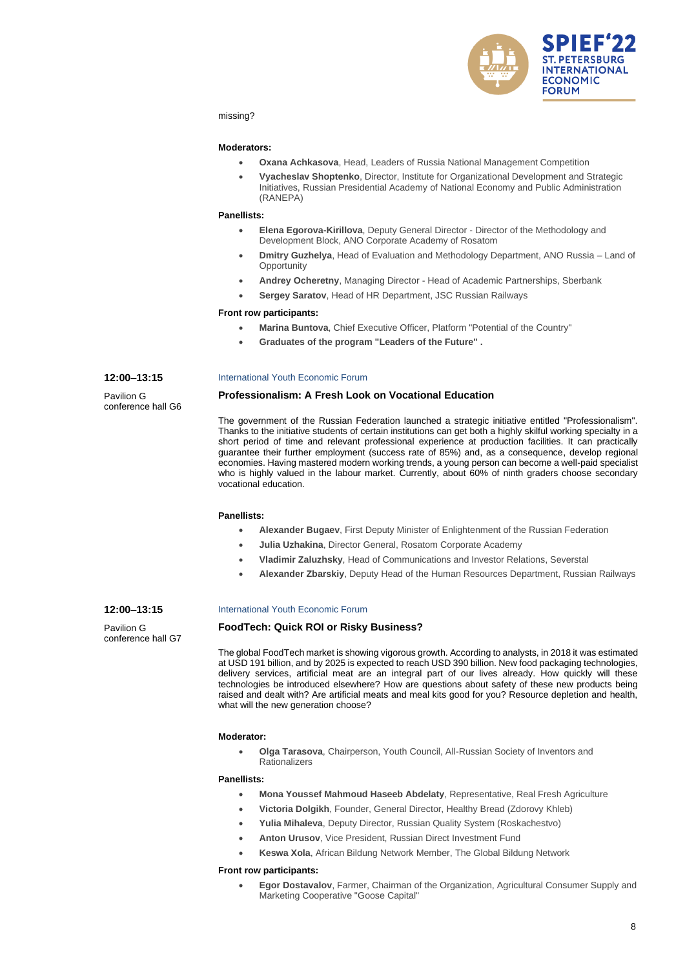

missing?

#### **Moderators:**

- **Oxana Achkasova**, Head, Leaders of Russia National Management Competition
- **Vyacheslav Shoptenko**, Director, Institute for Organizational Development and Strategic Initiatives, Russian Presidential Academy of National Economy and Public Administration (RANEPA)

#### **Panellists:**

- **Elena Egorova-Kirillova**, Deputy General Director Director of the Methodology and Development Block, ANO Corporate Academy of Rosatom
- **Dmitry Guzhelya**, Head of Evaluation and Methodology Department, ANO Russia Land of **Opportunity**
- **Andrey Ocheretny**, Managing Director Head of Academic Partnerships, Sberbank
- **Sergey Saratov**, Head of HR Department, JSC Russian Railways

#### **Front row participants:**

- **Marina Buntova**, Chief Executive Officer, Platform "Potential of the Сountry"
- **Graduates of the program "Leaders of the Future" .**

#### **12:00–13:15**

Pavilion G conference hall G6

#### International Youth Economic Forum

#### **Professionalism: A Fresh Look on Vocational Education**

The government of the Russian Federation launched a strategic initiative entitled "Professionalism". Thanks to the initiative students of certain institutions can get both a highly skilful working specialty in a short period of time and relevant professional experience at production facilities. It can practically guarantee their further employment (success rate of 85%) and, as a consequence, develop regional economies. Having mastered modern working trends, a young person can become a well-paid specialist who is highly valued in the labour market. Currently, about 60% of ninth graders choose secondary vocational education.

#### **Panellists:**

- **Alexander Bugaev**, First Deputy Minister of Enlightenment of the Russian Federation
- **Julia Uzhakina**, Director General, Rosatom Corporate Academy
- **Vladimir Zaluzhsky**, Head of Communications and Investor Relations, Severstal
- **Alexander Zbarskiy**, Deputy Head of the Human Resources Department, Russian Railways

### **12:00–13:15**

Pavilion G conference hall G7

### International Youth Economic Forum

### **FoodTech: Quick ROI or Risky Business?**

The global FoodTech market is showing vigorous growth. According to analysts, in 2018 it was estimated at USD 191 billion, and by 2025 is expected to reach USD 390 billion. New food packaging technologies, delivery services, artificial meat are an integral part of our lives already. How quickly will these technologies be introduced elsewhere? How are questions about safety of these new products being raised and dealt with? Are artificial meats and meal kits good for you? Resource depletion and health, what will the new generation choose?

#### **Moderator:**

• **Olga Tarasova**, Chairperson, Youth Council, All-Russian Society of Inventors and **Rationalizers** 

### **Panellists:**

- **Mona Youssef Mahmoud Haseeb Abdelaty**, Representative, Real Fresh Agriculture
- **Victoria Dolgikh**, Founder, General Director, Healthy Bread (Zdorovy Khleb)
- **Yulia Mihaleva**, Deputy Director, Russian Quality System (Roskachestvo)
- **Anton Urusov**, Vice President, Russian Direct Investment Fund
- **Keswa Xola**, African Bildung Network Member, The Global Bildung Network

#### **Front row participants:**

• **Egor Dostavalov**, Farmer, Chairman of the Organization, Agricultural Consumer Supply and Marketing Cooperative "Goose Capital"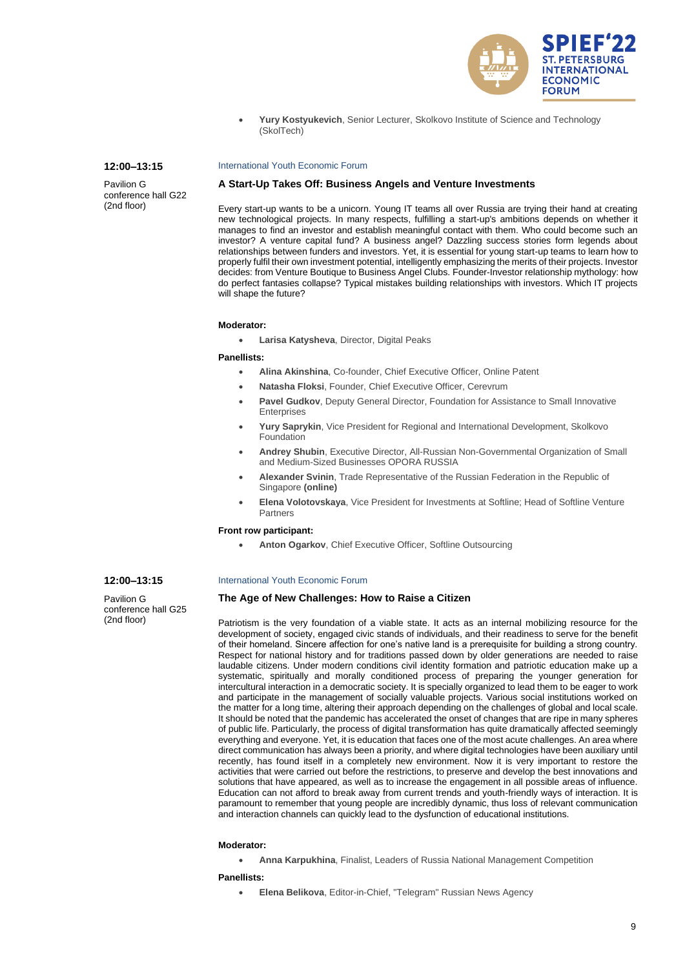

• **Yury Kostyukevich**, Senior Lecturer, Skolkovo Institute of Science and Technology (SkolTech)

### **12:00–13:15**

Pavilion G conference hall G22 (2nd floor)

### International Youth Economic Forum

### **A Start-Up Takes Off: Business Angels and Venture Investments**

Every start-up wants to be a unicorn. Young IT teams all over Russia are trying their hand at creating new technological projects. In many respects, fulfilling a start-up's ambitions depends on whether it manages to find an investor and establish meaningful contact with them. Who could become such an investor? A venture capital fund? A business angel? Dazzling success stories form legends about relationships between funders and investors. Yet, it is essential for young start-up teams to learn how to properly fulfil their own investment potential, intelligently emphasizing the merits of their projects. Investor decides: from Venture Boutique to Business Angel Clubs. Founder-Investor relationship mythology: how do perfect fantasies collapse? Typical mistakes building relationships with investors. Which IT projects will shape the future?

#### **Moderator:**

• **Larisa Katysheva**, Director, Digital Peaks

### **Panellists:**

- **Alina Akinshina**, Co-founder, Chief Executive Officer, Online Patent
- **Natasha Floksi**, Founder, Chief Executive Officer, Cerevrum
- **Pavel Gudkov**, Deputy General Director, Foundation for Assistance to Small Innovative **Enterprises**
- **Yury Saprykin**, Vice President for Regional and International Development, Skolkovo **Foundation**
- **Andrey Shubin**, Executive Director, All-Russian Non-Governmental Organization of Small and Medium-Sized Businesses OPORA RUSSIA
- **Alexander Svinin**, Trade Representative of the Russian Federation in the Republic of Singapore **(online)**
- **Elena Volotovskaya**, Vice President for Investments at Softline; Head of Softline Venture Partners

### **Front row participant:**

• **Anton Ogarkov**, Chief Executive Officer, Softline Outsourcing

# **12:00–13:15**

Pavilion G conference hall G25 (2nd floor)

#### International Youth Economic Forum

### **The Age of New Challenges: How to Raise a Citizen**

Patriotism is the very foundation of a viable state. It acts as an internal mobilizing resource for the development of society, engaged civic stands of individuals, and their readiness to serve for the benefit of their homeland. Sincere affection for one's native land is a prerequisite for building a strong country. Respect for national history and for traditions passed down by older generations are needed to raise laudable citizens. Under modern conditions civil identity formation and patriotic education make up a systematic, spiritually and morally conditioned process of preparing the younger generation for intercultural interaction in a democratic society. It is specially organized to lead them to be eager to work and participate in the management of socially valuable projects. Various social institutions worked on the matter for a long time, altering their approach depending on the challenges of global and local scale. It should be noted that the pandemic has accelerated the onset of changes that are ripe in many spheres of public life. Particularly, the process of digital transformation has quite dramatically affected seemingly everything and everyone. Yet, it is education that faces one of the most acute challenges. An area where direct communication has always been a priority, and where digital technologies have been auxiliary until recently, has found itself in a completely new environment. Now it is very important to restore the activities that were carried out before the restrictions, to preserve and develop the best innovations and solutions that have appeared, as well as to increase the engagement in all possible areas of influence. Education can not afford to break away from current trends and youth-friendly ways of interaction. It is paramount to remember that young people are incredibly dynamic, thus loss of relevant communication and interaction channels can quickly lead to the dysfunction of educational institutions.

#### **Moderator:**

• **Anna Karpukhina**, Finalist, Leaders of Russia National Management Competition

#### **Panellists:**

• **Elena Belikova**, Editor-in-Chief, "Telegram" Russian News Agency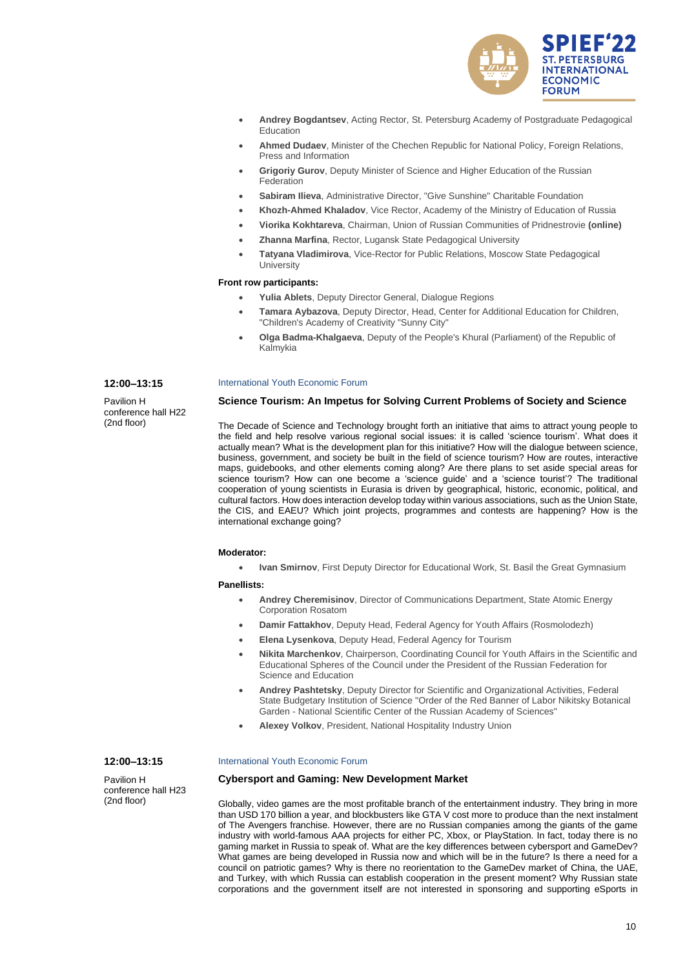

- **Andrey Bogdantsev**, Acting Rector, St. Petersburg Academy of Postgraduate Pedagogical Education
- **Ahmed Dudaev**, Minister of the Chechen Republic for National Policy, Foreign Relations, Press and Information
- **Grigoriy Gurov**, Deputy Minister of Science and Higher Education of the Russian Federation
- **Sabiram Ilieva**, Administrative Director, "Give Sunshine" Charitable Foundation
- **Khozh-Ahmed Khaladov**, Vice Rector, Academy of the Ministry of Education of Russia
- **Viorika Kokhtareva**, Chairman, Union of Russian Communities of Pridnestrovie **(online)**
- **Zhanna Marfina**, Rector, Lugansk State Pedagogical University
- **Tatyana Vladimirova**, Vice-Rector for Public Relations, Moscow State Pedagogical **University**

### **Front row participants:**

- **Yulia Ablets**, Deputy Director General, Dialogue Regions
- **Tamara Aybazova**, Deputy Director, Head, Center for Additional Education for Children, "Children's Academy of Creativity "Sunny City"
- **Olga Badma-Khalgaeva**, Deputy of the People's Khural (Parliament) of the Republic of Kalmykia

### International Youth Economic Forum

**Science Tourism: An Impetus for Solving Current Problems of Society and Science**

The Decade of Science and Technology brought forth an initiative that aims to attract young people to the field and help resolve various regional social issues: it is called 'science tourism'. What does it actually mean? What is the development plan for this initiative? How will the dialogue between science, business, government, and society be built in the field of science tourism? How are routes, interactive maps, guidebooks, and other elements coming along? Are there plans to set aside special areas for science tourism? How can one become a 'science guide' and a 'science tourist'? The traditional cooperation of young scientists in Eurasia is driven by geographical, historic, economic, political, and cultural factors. How does interaction develop today within various associations, such as the Union State, the CIS, and EAEU? Which joint projects, programmes and contests are happening? How is the international exchange going?

#### **Moderator:**

• **Ivan Smirnov**, First Deputy Director for Educational Work, St. Basil the Great Gymnasium

### **Panellists:**

- **Andrey Cheremisinov**, Director of Communications Department, State Atomic Energy Corporation Rosatom
- **Damir Fattakhov**, Deputy Head, Federal Agency for Youth Affairs (Rosmolodezh)
- **Elena Lysenkova**, Deputy Head, Federal Agency for Tourism
- **Nikita Marchenkov**, Chairperson, Coordinating Council for Youth Affairs in the Scientific and Educational Spheres of the Council under the President of the Russian Federation for Science and Education
- **Andrey Pashtetsky**, Deputy Director for Scientific and Organizational Activities, Federal State Budgetary Institution of Science "Order of the Red Banner of Labor Nikitsky Botanical Garden - National Scientific Center of the Russian Academy of Sciences"
- **Alexey Volkov**, President, National Hospitality Industry Union

# **12:00–13:15**

**12:00–13:15** Pavilion H

conference hall H22 (2nd floor)

Pavilion H conference hall H23 (2nd floor)

### International Youth Economic Forum

### **Cybersport and Gaming: New Development Market**

Globally, video games are the most profitable branch of the entertainment industry. They bring in more than USD 170 billion a year, and blockbusters like GTA V cost more to produce than the next instalment of The Avengers franchise. However, there are no Russian companies among the giants of the game industry with world-famous AAA projects for either PC, Xbox, or PlayStation. In fact, today there is no gaming market in Russia to speak of. What are the key differences between cybersport and GameDev? What games are being developed in Russia now and which will be in the future? Is there a need for a council on patriotic games? Why is there no reorientation to the GameDev market of China, the UAE, and Turkey, with which Russia can establish cooperation in the present moment? Why Russian state corporations and the government itself are not interested in sponsoring and supporting eSports in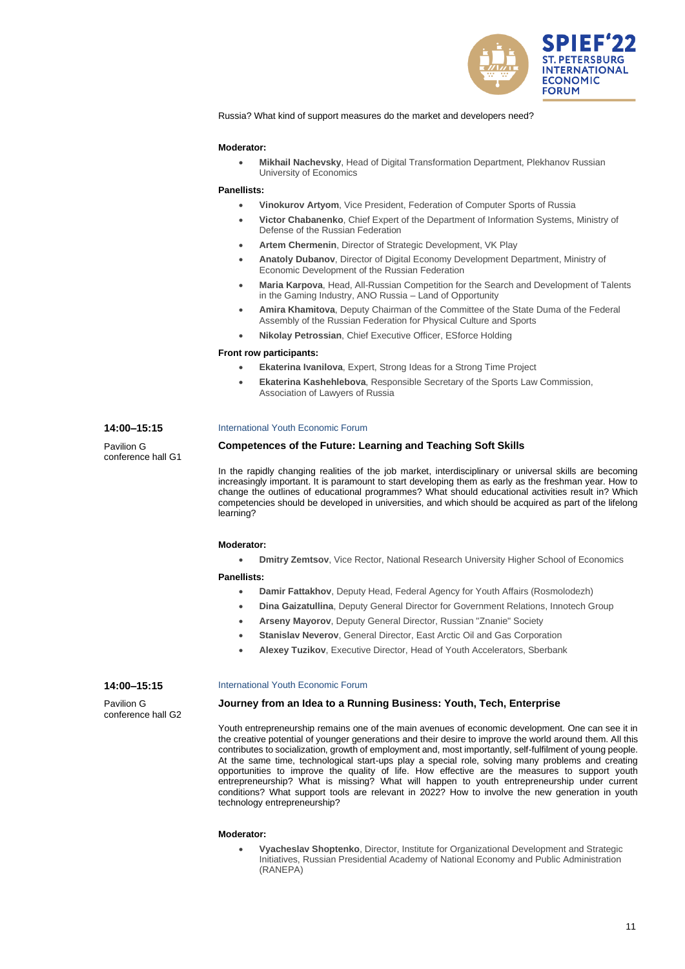

Russia? What kind of support measures do the market and developers need?

### **Moderator:**

• **Mikhail Nachevsky**, Head of Digital Transformation Department, Plekhanov Russian University of Economics

#### **Panellists:**

- **Vinokurov Artyom**, Vice President, Federation of Computer Sports of Russia
	- **Victor Chabanenko**, Chief Expert of the Department of Information Systems, Ministry of Defense of the Russian Federation
- **Artem Chermenin**, Director of Strategic Development, VK Play
- **Anatoly Dubanov**, Director of Digital Economy Development Department, Ministry of Economic Development of the Russian Federation
- **Maria Karpova**, Head, All-Russian Competition for the Search and Development of Talents in the Gaming Industry, ANO Russia – Land of Opportunity
- **Amira Khamitova**, Deputy Chairman of the Committee of the State Duma of the Federal Assembly of the Russian Federation for Physical Culture and Sports
- **Nikolay Petrossian**, Chief Executive Officer, ESforce Holding

#### **Front row participants:**

- **Ekaterina Ivanilova**, Expert, Strong Ideas for a Strong Time Project
- **Ekaterina Kashehlebova**, Responsible Secretary of the Sports Law Commission, Association of Lawyers of Russia

#### International Youth Economic Forum

### **Competences of the Future: Learning and Teaching Soft Skills**

In the rapidly changing realities of the job market, interdisciplinary or universal skills are becoming increasingly important. It is paramount to start developing them as early as the freshman year. How to change the outlines of educational programmes? What should educational activities result in? Which competencies should be developed in universities, and which should be acquired as part of the lifelong learning?

#### **Moderator:**

• **Dmitry Zemtsov**, Vice Rector, National Research University Higher School of Economics

#### **Panellists:**

- **Damir Fattakhov**, Deputy Head, Federal Agency for Youth Affairs (Rosmolodezh)
- **Dina Gaizatullina**, Deputy General Director for Government Relations, Innotech Group
- **Arseny Mayorov**, Deputy General Director, Russian "Znanie" Society
- **Stanislav Neverov**, General Director, East Arctic Oil and Gas Corporation
- **Alexey Tuzikov**, Executive Director, Head of Youth Accelerators, Sberbank

### **14:00–15:15**

Pavilion G conference hall G2

### International Youth Economic Forum

### **Journey from an Idea to a Running Business: Youth, Tech, Enterprise**

Youth entrepreneurship remains one of the main avenues of economic development. One can see it in the creative potential of younger generations and their desire to improve the world around them. All this contributes to socialization, growth of employment and, most importantly, self-fulfilment of young people. At the same time, technological start-ups play a special role, solving many problems and creating opportunities to improve the quality of life. How effective are the measures to support youth entrepreneurship? What is missing? What will happen to youth entrepreneurship under current conditions? What support tools are relevant in 2022? How to involve the new generation in youth technology entrepreneurship?

#### **Moderator:**

• **Vyacheslav Shoptenko**, Director, Institute for Organizational Development and Strategic Initiatives, Russian Presidential Academy of National Economy and Public Administration (RANEPA)

# **14:00–15:15**

Pavilion G conference hall G1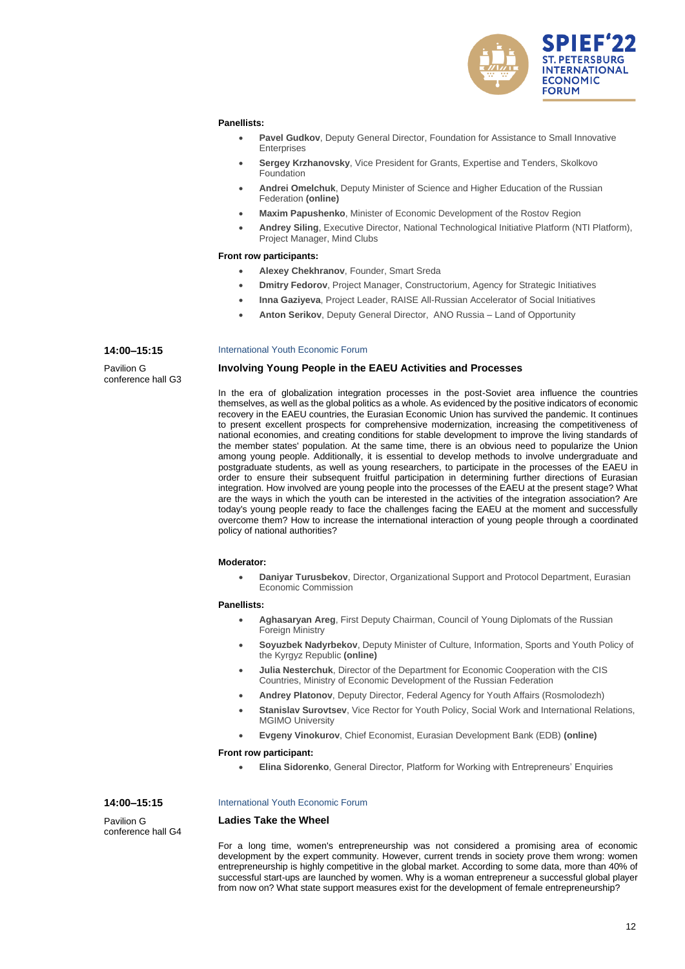

#### **Panellists:**

- **Pavel Gudkov**, Deputy General Director, Foundation for Assistance to Small Innovative **Enterprises**
- **Sergey Krzhanovsky**, Vice President for Grants, Expertise and Tenders, Skolkovo Foundation
- **Andrei Omelchuk**, Deputy Minister of Science and Higher Education of the Russian Federation **(online)**
- **Maxim Papushenko**, Minister of Economic Development of the Rostov Region
- **Andrey Siling**, Executive Director, National Technological Initiative Platform (NTI Platform), Project Manager, Mind Clubs

### **Front row participants:**

- **Alexey Chekhranov**, Founder, Smart Sreda
- **Dmitry Fedorov**, Project Manager, Constructorium, Agency for Strategic Initiatives
- **Inna Gaziyeva**, Project Leader, RAISE All-Russian Accelerator of Social Initiatives
- **Anton Serikov**, Deputy General Director, ANO Russia Land of Opportunity

#### **14:00–15:15**

Pavilion G conference hall G3

#### International Youth Economic Forum

### **Involving Young People in the EAEU Activities and Processes**

In the era of globalization integration processes in the post-Soviet area influence the countries themselves, as well as the global politics as a whole. As evidenced by the positive indicators of economic recovery in the EAEU countries, the Eurasian Economic Union has survived the pandemic. It continues to present excellent prospects for comprehensive modernization, increasing the competitiveness of national economies, and creating conditions for stable development to improve the living standards of the member states' population. At the same time, there is an obvious need to popularize the Union among young people. Additionally, it is essential to develop methods to involve undergraduate and postgraduate students, as well as young researchers, to participate in the processes of the EAEU in order to ensure their subsequent fruitful participation in determining further directions of Eurasian integration. How involved are young people into the processes of the EAEU at the present stage? What are the ways in which the youth can be interested in the activities of the integration association? Are today's young people ready to face the challenges facing the EAEU at the moment and successfully overcome them? How to increase the international interaction of young people through a coordinated policy of national authorities?

#### **Moderator:**

• **Daniyar Turusbekov**, Director, Organizational Support and Protocol Department, Eurasian Economic Commission

### **Panellists:**

- **Aghasaryan Areg**, First Deputy Chairman, Council of Young Diplomats of the Russian Foreign Ministry
- **Soyuzbek Nadyrbekov**, Deputy Minister of Culture, Information, Sports and Youth Policy of the Kyrgyz Republic **(online)**
- **Julia Nesterchuk**, Director of the Department for Economic Cooperation with the CIS Countries, Ministry of Economic Development of the Russian Federation
- **Andrey Platonov**, Deputy Director, Federal Agency for Youth Affairs (Rosmolodezh)
- **Stanislav Surovtsev**, Vice Rector for Youth Policy, Social Work and International Relations, MGIMO University
- **Evgeny Vinokurov**, Chief Economist, Eurasian Development Bank (EDB) **(online)**

#### **Front row participant:**

• **Elina Sidorenko**, General Director, Platform for Working with Entrepreneurs' Enquiries

# **14:00–15:15**

Pavilion G conference hall G4

### International Youth Economic Forum

### **Ladies Take the Wheel**

For a long time, women's entrepreneurship was not considered a promising area of economic development by the expert community. However, current trends in society prove them wrong: women entrepreneurship is highly competitive in the global market. According to some data, more than 40% of successful start-ups are launched by women. Why is a woman entrepreneur a successful global player from now on? What state support measures exist for the development of female entrepreneurship?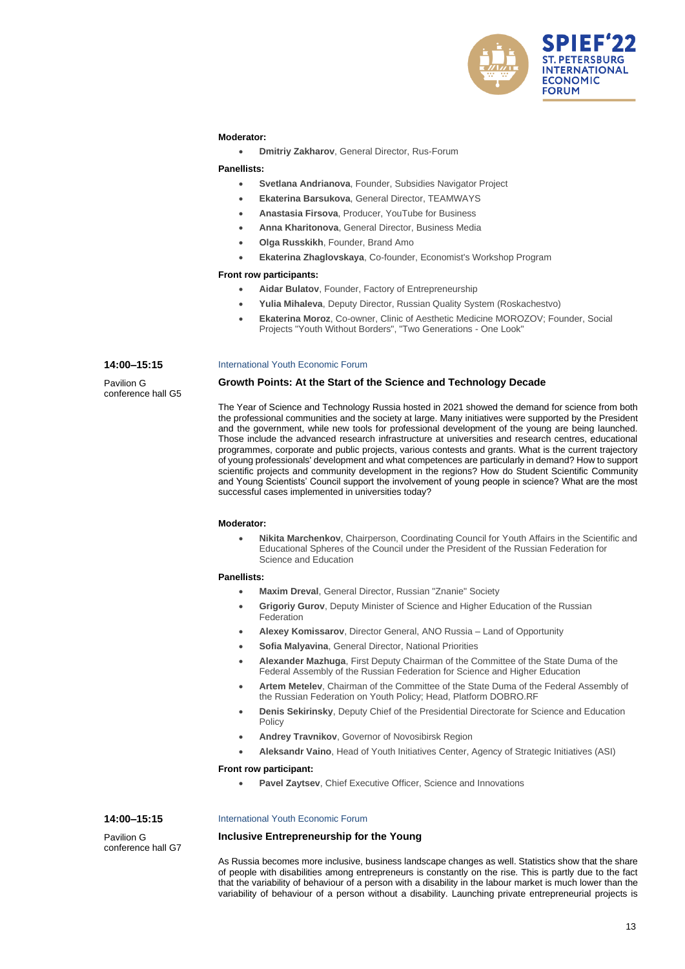

### **Moderator:**

• **Dmitriy Zakharov**, General Director, Rus-Forum

# **Panellists:**

- **Svetlana Andrianova**, Founder, Subsidies Navigator Project
- **Ekaterina Barsukova**, General Director, TEAMWAYS
- **Anastasia Firsova**, Producer, YouTube for Business
- **Anna Kharitonova**, General Director, Business Media
- **Olga Russkikh**, Founder, Brand Amo
- **Ekaterina Zhaglovskaya**, Co-founder, Economist's Workshop Program

#### **Front row participants:**

- **Aidar Bulatov**, Founder, Factory of Entrepreneurship
- **Yulia Mihaleva**, Deputy Director, Russian Quality System (Roskachestvo)
- **Ekaterina Moroz**, Co-owner, Clinic of Aesthetic Medicine MOROZOV; Founder, Social Projects "Youth Without Borders", "Two Generations - One Look"

#### **14:00–15:15**

Pavilion G conference hall G5

#### International Youth Economic Forum

### **Growth Points: At the Start of the Science and Technology Decade**

The Year of Science and Technology Russia hosted in 2021 showed the demand for science from both the professional communities and the society at large. Many initiatives were supported by the President and the government, while new tools for professional development of the young are being launched. Those include the advanced research infrastructure at universities and research centres, educational programmes, corporate and public projects, various contests and grants. What is the current trajectory of young professionals' development and what competences are particularly in demand? How to support scientific projects and community development in the regions? How do Student Scientific Community and Young Scientists' Council support the involvement of young people in science? What are the most successful cases implemented in universities today?

#### **Moderator:**

• **Nikita Marchenkov**, Chairperson, Coordinating Council for Youth Affairs in the Scientific and Educational Spheres of the Council under the President of the Russian Federation for Science and Education

#### **Panellists:**

- **Maxim Dreval**, General Director, Russian "Znanie" Society
- **Grigoriy Gurov**, Deputy Minister of Science and Higher Education of the Russian Federation
- **Alexey Komissarov**, Director General, ANO Russia Land of Opportunity
- **Sofia Malyavina**, General Director, National Priorities
- **Alexander Mazhuga**, First Deputy Chairman of the Committee of the State Duma of the Federal Assembly of the Russian Federation for Science and Higher Education
- **Artem Metelev**, Chairman of the Committee of the State Duma of the Federal Assembly of the Russian Federation on Youth Policy; Head, Platform DOBRO.RF
- **Denis Sekirinsky**, Deputy Chief of the Presidential Directorate for Science and Education Policy
- **Andrey Travnikov**, Governor of Novosibirsk Region
- **Aleksandr Vaino**, Head of Youth Initiatives Center, Agency of Strategic Initiatives (ASI)

#### **Front row participant:**

• **Pavel Zaytsev**, Chief Executive Officer, Science and Innovations

### **14:00–15:15**

Pavilion G conference hall G7

#### International Youth Economic Forum

### **Inclusive Entrepreneurship for the Young**

As Russia becomes more inclusive, business landscape changes as well. Statistics show that the share of people with disabilities among entrepreneurs is constantly on the rise. This is partly due to the fact that the variability of behaviour of a person with a disability in the labour market is much lower than the variability of behaviour of a person without a disability. Launching private entrepreneurial projects is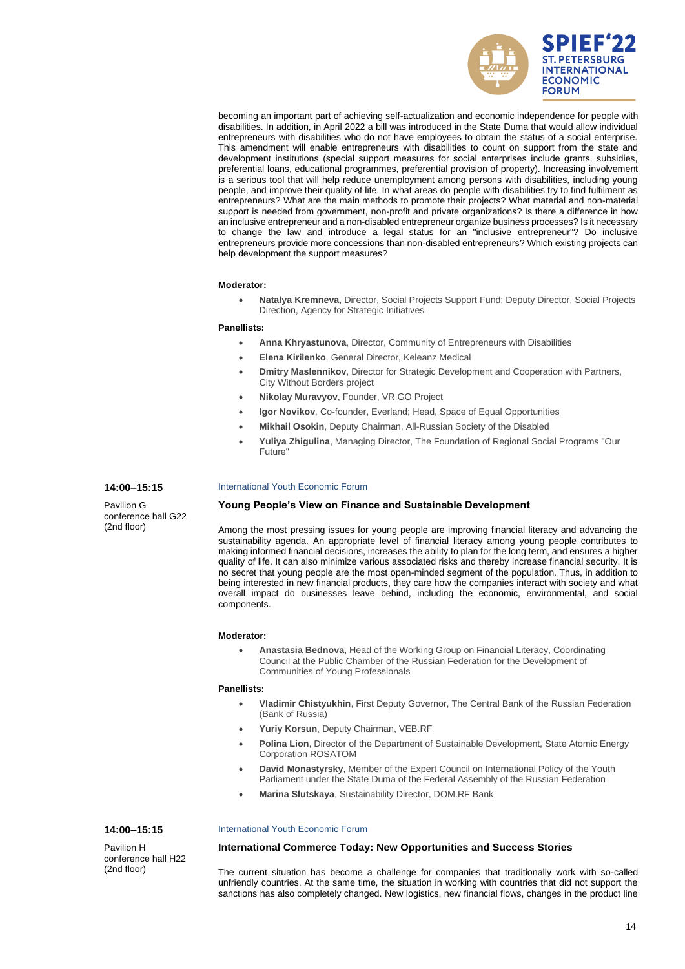

becoming an important part of achieving self-actualization and economic independence for people with disabilities. In addition, in April 2022 a bill was introduced in the State Duma that would allow individual entrepreneurs with disabilities who do not have employees to obtain the status of a social enterprise. This amendment will enable entrepreneurs with disabilities to count on support from the state and development institutions (special support measures for social enterprises include grants, subsidies, preferential loans, educational programmes, preferential provision of property). Increasing involvement is a serious tool that will help reduce unemployment among persons with disabilities, including young people, and improve their quality of life. In what areas do people with disabilities try to find fulfilment as entrepreneurs? What are the main methods to promote their projects? What material and non-material support is needed from government, non-profit and private organizations? Is there a difference in how an inclusive entrepreneur and a non-disabled entrepreneur organize business processes? Is it necessary to change the law and introduce a legal status for an "inclusive entrepreneur"? Do inclusive entrepreneurs provide more concessions than non-disabled entrepreneurs? Which existing projects can help development the support measures?

#### **Moderator:**

• **Natalya Kremneva**, Director, Social Projects Support Fund; Deputy Director, Social Projects Direction, Agency for Strategic Initiatives

#### **Panellists:**

- **Anna Khryastunova**, Director, Community of Entrepreneurs with Disabilities
- **Elena Kirilenko**, General Director, Keleanz Medical
- **Dmitry Maslennikov**, Director for Strategic Development and Cooperation with Partners, City Without Borders project
- **Nikolay Muravyov**, Founder, VR GO Project
- **Igor Novikov**, Co-founder, Everland; Head, Space of Equal Opportunities
- **Mikhail Osokin**, Deputy Chairman, All-Russian Society of the Disabled
- **Yuliya Zhigulina**, Managing Director, The Foundation of Regional Social Programs "Our Future"

### **14:00–15:15**

Pavilion G conference hall G22 (2nd floor)

#### International Youth Economic Forum

### **Young People's View on Finance and Sustainable Development**

Among the most pressing issues for young people are improving financial literacy and advancing the sustainability agenda. An appropriate level of financial literacy among young people contributes to making informed financial decisions, increases the ability to plan for the long term, and ensures a higher quality of life. It can also minimize various associated risks and thereby increase financial security. It is no secret that young people are the most open-minded segment of the population. Thus, in addition to being interested in new financial products, they care how the companies interact with society and what overall impact do businesses leave behind, including the economic, environmental, and social components.

### **Moderator:**

• **Anastasia Bednova**, Head of the Working Group on Financial Literacy, Coordinating Council at the Public Chamber of the Russian Federation for the Development of Communities of Young Professionals

#### **Panellists:**

- **Vladimir Chistyukhin**, First Deputy Governor, The Central Bank of the Russian Federation (Bank of Russia)
- **Yuriy Korsun**, Deputy Chairman, VEB.RF
- **Polina Lion**, Director of the Department of Sustainable Development, State Atomic Energy Corporation ROSATOM
- **David Monastyrsky**, Member of the Expert Council on International Policy of the Youth Parliament under the State Duma of the Federal Assembly of the Russian Federation
- **Marina Slutskaya**, Sustainability Director, DOM.RF Bank

### **14:00–15:15**

Pavilion H conference hall H22 (2nd floor)

#### International Youth Economic Forum

# **International Commerce Today: New Opportunities and Success Stories**

The current situation has become a challenge for companies that traditionally work with so-called unfriendly countries. At the same time, the situation in working with countries that did not support the sanctions has also completely changed. New logistics, new financial flows, changes in the product line